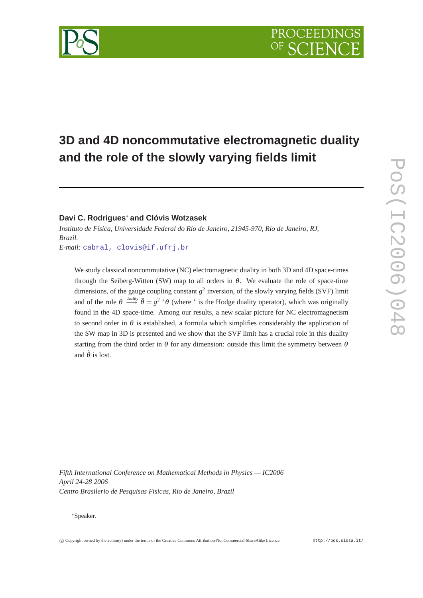# **3D and 4D noncommutative electromagnetic duality and the role of the slowly varying fields limit**

## **Davi C. Rodrigues**<sup>∗</sup> **and Clóvis Wotzasek**

*Instituto de Física, Universidade Federal do Rio de Janeiro, 21945-970, Rio de Janeiro, RJ, Brazil. E-mail:* [cabral, clovis@if.ufrj.br](mailto:cabral, clovis@if.ufrj.br)

We study classical noncommutative (NC) electromagnetic duality in both 3D and 4D space-times through the Seiberg-Witten (SW) map to all orders in  $\theta$ . We evaluate the role of space-time dimensions, of the gauge coupling constant  $g^2$  inversion, of the slowly varying fields (SVF) limit and of the rule  $\theta \stackrel{\text{duality}}{\longrightarrow} \tilde{\theta} = g^2 \star \theta$  (where  $\star$  is the Hodge duality operator), which was originally found in the 4D space-time. Among our results, a new scalar picture for NC electromagnetism to second order in  $\theta$  is established, a formula which simplifies considerably the application of the SW map in 3D is presented and we show that the SVF limit has a crucial role in this duality starting from the third order in  $\theta$  for any dimension: outside this limit the symmetry between  $\theta$ and  $\tilde{\theta}$  is lost.

*Fifth International Conference on Mathematical Methods in Physics — IC2006 April 24-28 2006 Centro Brasilerio de Pesquisas Fisicas, Rio de Janeiro, Brazil*

#### <sup>∗</sup>Speaker.

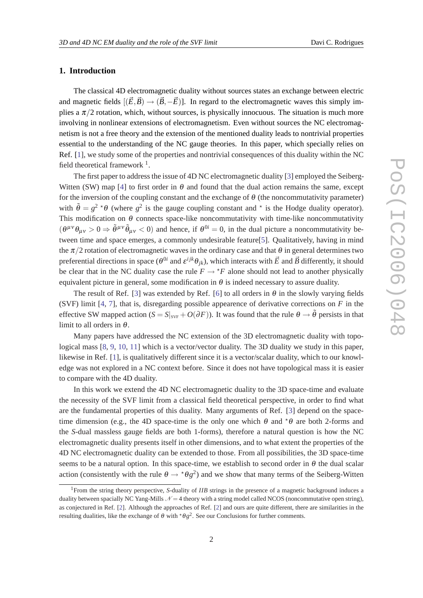#### **1. Introduction**

The classical 4D electromagnetic duality without sources states an exchange between electric and magnetic fields  $[(\vec{E}, \vec{B}) \rightarrow (\vec{B}, -\vec{E})]$ . In regard to the electromagnetic waves this simply implies a  $\pi/2$  rotation, which, without sources, is physically innocuous. The situation is much more involving in nonlinear extensions of electromagnetism. Even without sources the NC electromagnetism is not a free theory and the extension of the mentioned duality leads to nontrivial properties essential to the understanding of the NC gauge theories. In this paper, which specially relies on Ref. [[1](#page-8-0)], we study some of the properties and nontrivial consequences of this duality within the NC field theoretical framework  $<sup>1</sup>$ .</sup>

The first paper to address the issue of 4D NC electromagnetic duality [\[3\]](#page-8-0) employed the Seiberg-Witten (SW) map [\[4\]](#page-8-0) to first order in  $\theta$  and found that the dual action remains the same, except for the inversion of the coupling constant and the exchange of  $\theta$  (the noncommutativity parameter) with  $\tilde{\theta} = g^2 \star \theta$  (where  $g^2$  is the gauge coupling constant and  $\star$  is the Hodge duality operator). This modification on  $\theta$  connects space-like noncommutativity with time-like noncommutativity  $(\theta^{\mu\nu}\theta_{\mu\nu} > 0 \Rightarrow \tilde{\theta}^{\mu\nu}\tilde{\theta}_{\mu\nu} < 0)$  and hence, if  $\theta^{0i} = 0$ , in the dual picture a noncommutativity between time and space emerges, a commonly undesirable feature[[5](#page-8-0)]. Qualitatively, having in mind the  $\pi/2$  rotation of electromagnetic waves in the ordinary case and that  $\theta$  in general determines two preferential directions in space ( $\theta^{0i}$  and  $\varepsilon^{ijk}\theta_{jk}$ ), which interacts with  $\vec{E}$  and  $\vec{B}$  differently, it should be clear that in the NC duality case the rule  $F \to {}^{\star}F$  alone should not lead to another physically equivalent picture in general, some modification in  $\theta$  is indeed necessary to assure duality.

The result of Ref. [\[3\]](#page-8-0) was extended by Ref. [[6\]](#page-8-0) to all orders in  $\theta$  in the slowly varying fields (SVF) limit [[4](#page-8-0), [7\]](#page-8-0), that is, disregarding possible appearence of derivative corrections on *F* in the effective SW mapped action ( $S = S|_{SVF} + O(\partial F)$ ). It was found that the rule  $\theta \to \tilde{\theta}$  persists in that limit to all orders in  $\theta$ .

Many papers have addressed the NC extension of the 3D electromagnetic duality with topological mass [\[8,](#page-8-0) [9,](#page-8-0) [10](#page-8-0), [11\]](#page-8-0) which is a vector/vector duality. The 3D duality we study in this paper, likewise in Ref. [[1\]](#page-8-0), is qualitatively different since it is a vector/scalar duality, which to our knowledge was not explored in a NC context before. Since it does not have topological mass it is easier to compare with the 4D duality.

In this work we extend the 4D NC electromagnetic duality to the 3D space-time and evaluate the necessity of the SVF limit from a classical field theoretical perspective, in order to find what are the fundamental properties of this duality. Many arguments of Ref. [\[3\]](#page-8-0) depend on the spacetime dimension (e.g., the 4D space-time is the only one which  $\theta$  and  $\tau$  $\theta$  are both 2-forms and the *S*-dual massless gauge fields are both 1-forms), therefore a natural question is how the NC electromagnetic duality presents itself in other dimensions, and to what extent the properties of the 4D NC electromagnetic duality can be extended to those. From all possibilities, the 3D space-time seems to be a natural option. In this space-time, we establish to second order in  $\theta$  the dual scalar action (consistently with the rule  $\theta \to {}^{\star} \theta g^2$ ) and we show that many terms of the Seiberg-Witten

<sup>1</sup>From the string theory perspective, *S*-duality of *IIB* strings in the presence of a magnetic background induces a duality between spacially NC Yang-Mills  $\mathcal{N} = 4$  theory with a string model called NCOS (noncommutative open string), as conjectured in Ref. [[2](#page-8-0)]. Although the approaches of Ref. [\[2\]](#page-8-0) and ours are quite different, there are similarities in the resulting dualities, like the exchange of  $\theta$  with  $\star \theta g^2$ . See our Conclusions for further comments.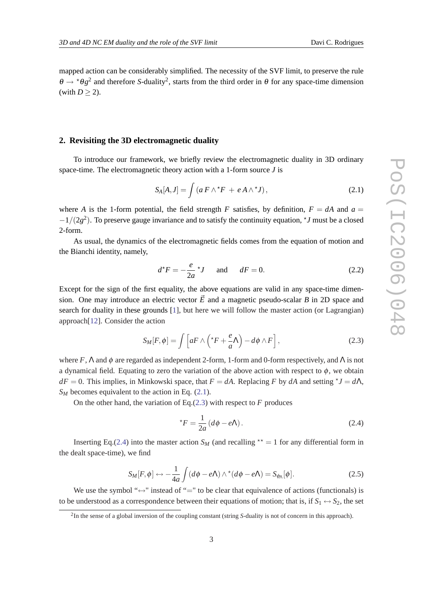<span id="page-2-0"></span>mapped action can be considerably simplified. The necessity of the SVF limit, to preserve the rule  $\theta \to {}^{\star} \theta g^2$  and therefore *S*-duality<sup>2</sup>, starts from the third order in  $\theta$  for any space-time dimension (with  $D > 2$ ).

### **2. Revisiting the 3D electromagnetic duality**

To introduce our framework, we briefly review the electromagnetic duality in 3D ordinary space-time. The electromagnetic theory action with a 1-form source *J* is

$$
S_A[A,J] = \int (a F \wedge {}^{\star} F + e A \wedge {}^{\star} J), \qquad (2.1)
$$

where *A* is the 1-form potential, the field strength *F* satisfies, by definition,  $F = dA$  and  $a =$  $-1/(2g<sup>2</sup>)$ . To preserve gauge invariance and to satisfy the continuity equation,  $\star J$  must be a closed 2-form.

As usual, the dynamics of the electromagnetic fields comes from the equation of motion and the Bianchi identity, namely,

$$
d^*F = -\frac{e}{2a} * J \quad \text{and} \quad dF = 0. \tag{2.2}
$$

Except for the sign of the first equality, the above equations are valid in any space-time dimension. One may introduce an electric vector  $\vec{E}$  and a magnetic pseudo-scalar *B* in 2D space and search for duality in these grounds [[1](#page-8-0)], but here we will follow the master action (or Lagrangian) approach[[12\]](#page-8-0). Consider the action

$$
S_M[F,\phi] = \int \left[ aF \wedge \left( {}^{\star}F + \frac{e}{a} \Lambda \right) - d\phi \wedge F \right], \tag{2.3}
$$

where  $F$ ,  $\Lambda$  and  $\phi$  are regarded as independent 2-form, 1-form and 0-form respectively, and  $\Lambda$  is not a dynamical field. Equating to zero the variation of the above action with respect to  $\phi$ , we obtain  $dF = 0$ . This implies, in Minkowski space, that  $F = dA$ . Replacing *F* by *dA* and setting  $\tau J = d\Lambda$ , *S<sub>M</sub>* becomes equivalent to the action in Eq. (2.1).

On the other hand, the variation of Eq.(2.3) with respect to *F* produces

$$
{}^{\star}F = \frac{1}{2a} \left( d\phi - e\Lambda \right). \tag{2.4}
$$

Inserting Eq.(2.4) into the master action  $S_M$  (and recalling  $\star \star = 1$  for any differential form in the dealt space-time), we find

$$
S_M[F,\phi] \leftrightarrow -\frac{1}{4a} \int (d\phi - e\Lambda) \wedge^* (d\phi - e\Lambda) = S_{\phi_{\Lambda}}[\phi]. \tag{2.5}
$$

We use the symbol " $\leftrightarrow$ " instead of "=" to be clear that equivalence of actions (functionals) is to be understood as a correspondence between their equations of motion; that is, if  $S_1 \leftrightarrow S_2$ , the set

<sup>2</sup> In the sense of a global inversion of the coupling constant (string *S*-duality is not of concern in this approach).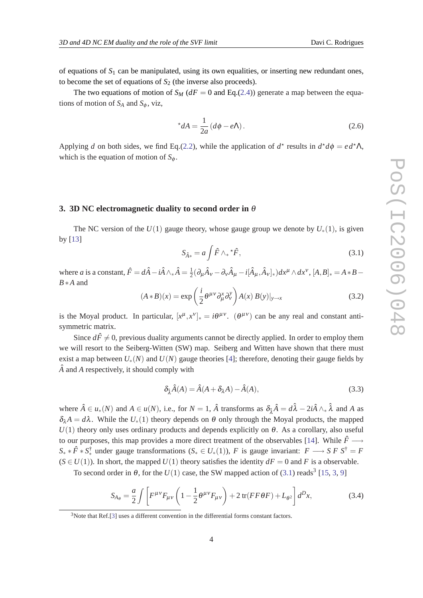<span id="page-3-0"></span>of equations of  $S_1$  can be manipulated, using its own equalities, or inserting new redundant ones, to become the set of equations of  $S_2$  (the inverse also proceeds).

The two equations of motion of  $S_M$  ( $dF = 0$  and Eq.[\(2.4](#page-2-0))) generate a map between the equations of motion of  $S_A$  and  $S_\phi$ , viz,

$$
^{\star}dA = \frac{1}{2a} \left( d\phi - e\Lambda \right). \tag{2.6}
$$

Applying *d* on both sides, we find Eq.([2.2](#page-2-0)), while the application of  $d^*$  results in  $d^*d\phi = ed^*\Lambda$ , which is the equation of motion of  $S_{\phi}$ .

#### **3. 3D NC electromagnetic duality to second order in** θ

The NC version of the  $U(1)$  gauge theory, whose gauge group we denote by  $U_*(1)$ , is given by [[13\]](#page-8-0)

$$
S_{\hat{A}^*} = a \int \hat{F} \wedge_* {}^{\star} \hat{F}, \qquad (3.1)
$$

where *a* is a constant,  $\hat{F} = d\hat{A} - i\hat{A} \wedge_{*} \hat{A} = \frac{1}{2}$  $\frac{1}{2}(\partial_{\mu}\hat{A}_{\nu} - \partial_{\nu}\hat{A}_{\mu} - i[\hat{A}_{\mu},\hat{A}_{\nu}]_{*})dx^{\mu} \wedge dx^{\nu}, [A,B]_{*} = A*B -$ *B*∗*A* and

$$
(A*B)(x) = \exp\left(\frac{i}{2}\theta^{\mu\nu}\partial_{\mu}^{x}\partial_{\nu}^{y}\right)A(x) B(y)|_{y \to x}
$$
\n(3.2)

is the Moyal product. In particular,  $[x^{\mu},x^{\nu}]_{*} = i\theta^{\mu\nu}$ .  $(\theta^{\mu\nu})$  can be any real and constant antisymmetric matrix.

Since  $d\hat{F} \neq 0$ , previous duality arguments cannot be directly applied. In order to employ them we will resort to the Seiberg-Witten (SW) map. Seiberg and Witten have shown that there must exist a map between  $U_*(N)$  and  $U(N)$  gauge theories [[4](#page-8-0)]; therefore, denoting their gauge fields by  $\hat{A}$  and  $A$  respectively, it should comply with

$$
\delta_{\hat{\lambda}}\hat{A}(A) = \hat{A}(A + \delta_{\lambda}A) - \hat{A}(A),\tag{3.3}
$$

where  $\hat{A} \in u_*(N)$  and  $A \in u(N)$ , i.e., for  $N = 1$ ,  $\hat{A}$  transforms as  $\delta_{\hat{\lambda}}\hat{A} = d\hat{\lambda} - 2i\hat{A} \wedge_* \hat{\lambda}$  and A as  $\delta_{\lambda}A = d\lambda$ . While the  $U_*(1)$  theory depends on  $\theta$  only through the Moyal products, the mapped  $U(1)$  theory only uses ordinary products and depends explicitly on  $\theta$ . As a corollary, also useful to our purposes, this map provides a more direct treatment of the observables [\[14](#page-8-0)]. While  $\hat{F} \longrightarrow$  $S_* \times \hat{F} \times S_*^{\dagger}$  under gauge transformations  $(S_* \in U_*(1)), F$  is gauge invariant:  $F \longrightarrow S F S^{\dagger} = F$  $(S \in U(1))$ . In short, the mapped  $U(1)$  theory satisfies the identity  $dF = 0$  and *F* is a observable.

To second order in  $\theta$ , for the  $U(1)$  case, the SW mapped action of (3.1) reads<sup>3</sup> [[15,](#page-9-0) [3,](#page-8-0) [9\]](#page-8-0)

$$
S_{A_{\theta}} = \frac{a}{2} \int \left[ F^{\mu\nu} F_{\mu\nu} \left( 1 - \frac{1}{2} \theta^{\mu\nu} F_{\mu\nu} \right) + 2 \operatorname{tr}(FF\theta F) + L_{\theta^2} \right] d^D x, \tag{3.4}
$$

<sup>&</sup>lt;sup>3</sup>Note that Ref.<sup>[\[3\]](#page-8-0)</sup> uses a different convention in the differential forms constant factors.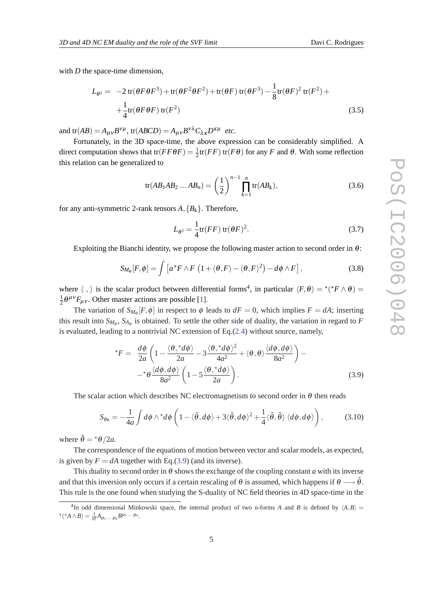<span id="page-4-0"></span>with *D* the space-time dimension,

$$
L_{\theta^2} = -2 \operatorname{tr}(\theta F \theta F^3) + \operatorname{tr}(\theta F^2 \theta F^2) + \operatorname{tr}(\theta F) \operatorname{tr}(\theta F^3) - \frac{1}{8} \operatorname{tr}(\theta F)^2 \operatorname{tr}(F^2) +
$$
  
 
$$
+ \frac{1}{4} \operatorname{tr}(\theta F \theta F) \operatorname{tr}(F^2)
$$
(3.5)

and  $tr(AB) = A_{\mu\nu}B^{\nu\mu}$ ,  $tr(ABCD) = A_{\mu\nu}B^{\nu\lambda}C_{\lambda\kappa}D^{\kappa\mu}$  *etc.* 

Fortunately, in the 3D space-time, the above expression can be considerably simplified. A direct computation shows that  $tr(FF\theta F) = \frac{1}{2}tr(FF)$   $tr(F\theta)$  for any *F* and  $\theta$ . With some reflection this relation can be generalized to

$$
tr(AB_1AB_2...AB_n) = \left(\frac{1}{2}\right)^{n-1} \prod_{k=1}^n tr(AB_k),
$$
 (3.6)

for any anti-symmetric 2-rank tensors  $A$ ,  ${B<sub>k</sub>}$ . Therefore,

$$
L_{\theta^2} = \frac{1}{4} \text{tr}(FF) \text{ tr}(\theta F)^2.
$$
 (3.7)

Exploiting the Bianchi identity, we propose the following master action to second order in  $\theta$ :

$$
S_{M_{\theta}}[F,\phi] = \int \left[ a^{\star} F \wedge F \left( 1 + \langle \theta, F \rangle - \langle \theta, F \rangle^2 \right) - d\phi \wedge F \right], \tag{3.8}
$$

where  $\langle , \rangle$  is the scalar product between differential forms<sup>4</sup>, in particular  $\langle F, \theta \rangle = \langle f \rangle^* F \wedge \theta =$ 1  $\frac{1}{2}\theta^{\mu\nu}F_{\mu\nu}$ . Other master actions are possible [\[1\]](#page-8-0).

The variation of  $S_{M_{\theta}}[F, \phi]$  in respect to  $\phi$  leads to  $dF = 0$ , which implies  $F = dA$ ; inserting this result into  $S_{M_{\theta}}$ ,  $S_{A_{\theta}}$  is obtained. To settle the other side of duality, the variation in regard to *F* is evaluated, leading to a nontrivial NC extension of Eq.[\(2.4\)](#page-2-0) without source, namely,

$$
{}^{*}F = \frac{d\phi}{2a} \left( 1 - \frac{\langle \theta, {}^{*}d\phi \rangle}{2a} - 3 \frac{\langle \theta, {}^{*}d\phi \rangle^{2}}{4a^{2}} + \langle \theta, \theta \rangle \frac{\langle d\phi, d\phi \rangle}{8a^{2}} \right) - \\ -{}^{*}\theta \frac{\langle d\phi, d\phi \rangle}{8a^{2}} \left( 1 - 5 \frac{\langle \theta, {}^{*}d\phi \rangle}{2a} \right). \tag{3.9}
$$

The scalar action which describes NC electromagnetism to second order in  $\theta$  then reads

$$
S_{\phi_{\theta}} = -\frac{1}{4a} \int d\phi \wedge^* d\phi \left( 1 - \langle \tilde{\theta}, d\phi \rangle + 3 \langle \tilde{\theta}, d\phi \rangle^2 + \frac{1}{4} \langle \tilde{\theta}, \tilde{\theta} \rangle \langle d\phi, d\phi \rangle \right), \tag{3.10}
$$

where  $\tilde{\theta} = \pm \theta / 2a$ .

The correspondence of the equations of motion between vector and scalar models, as expected, is given by  $F = dA$  together with Eq.(3.9) (and its inverse).

This duality to second order in  $\theta$  shows the exchange of the coupling constant *a* with its inverse and that this inversion only occurs if a certain rescaling of  $\theta$  is assumed, which happens if  $\theta \longrightarrow \tilde{\theta}$ . This rule is the one found when studying the S-duality of NC field theories in 4D space-time in the

<sup>&</sup>lt;sup>4</sup>In odd dimensional Minkowski space, the internal product of two n-forms *A* and *B* is defined by  $\langle A, B \rangle$  =  ${}^{\star}({}^{\star}A\wedge B)=\frac{1}{n!}A_{\mu_1\ldots\mu_n}B^{\mu_1\ldots\mu_n}.$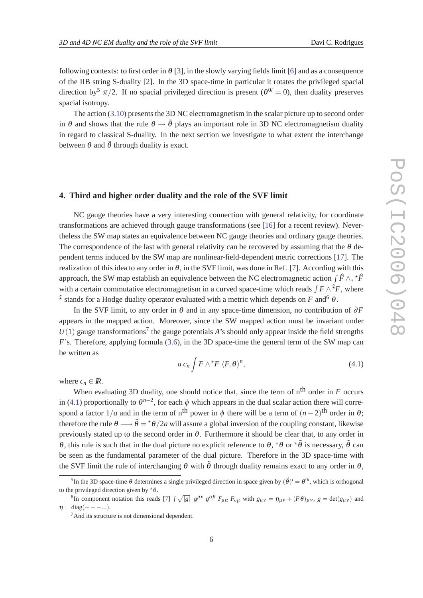following contexts: to first order in  $\theta$  [\[3](#page-8-0)], in the slowly varying fields limit [\[6\]](#page-8-0) and as a consequence of the IIB string S-duality [[2\]](#page-8-0). In the 3D space-time in particular it rotates the privileged spacial direction by<sup>5</sup>  $\pi/2$ . If no spacial privileged direction is present ( $\theta^{0i} = 0$ ), then duality preserves spacial isotropy.

The action [\(3.10](#page-4-0)) presents the 3D NC electromagnetism in the scalar picture up to second order in  $\theta$  and shows that the rule  $\theta \rightarrow \tilde{\theta}$  plays an important role in 3D NC electromagnetism duality in regard to classical S-duality. In the next section we investigate to what extent the interchange between  $\theta$  and  $\tilde{\theta}$  through duality is exact.

#### **4. Third and higher order duality and the role of the SVF limit**

NC gauge theories have a very interesting connection with general relativity, for coordinate transformations are achieved through gauge transformations (see [[16\]](#page-9-0) for a recent review). Nevertheless the SW map states an equivalence between NC gauge theories and ordinary gauge theories. The correspondence of the last with general relativity can be recovered by assuming that the  $\theta$  dependent terms induced by the SW map are nonlinear-field-dependent metric corrections [[17\]](#page-9-0). The realization of this idea to any order in  $\theta$ , in the SVF limit, was done in Ref. [\[7\]](#page-8-0). According with this approach, the SW map establish an equivalence between the NC electromagnetic action  $\int \hat{F} \wedge_* {}^{\star} \hat{F}$ with a certain commutative electromagnetism in a curved space-time which reads  $\int F \wedge^2 F$ , where  $\hat{\tau}$  stands for a Hodge duality operator evaluated with a metric which depends on *F* and <sup>6</sup>  $\theta$ .

In the SVF limit, to any order in  $\theta$  and in any space-time dimension, no contribution of  $\partial F$ appears in the mapped action. Moreover, since the SW mapped action must be invariant under  $U(1)$  gauge transformations<sup>7</sup> the gauge potentials *A*'s should only appear inside the field strengths *F*'s. Therefore, applying formula ([3.6\)](#page-4-0), in the 3D space-time the general term of the SW map can be written as

$$
a c_n \int F \wedge {}^{\star}F \langle F, \theta \rangle^n, \tag{4.1}
$$

where  $c_n \in \mathbb{R}$ .

When evaluating 3D duality, one should notice that, since the term of  $n<sup>th</sup>$  order in  $F$  occurs in (4.1) proportionally to  $\theta^{n-2}$ , for each  $\phi$  which appears in the dual scalar action there will correspond a factor  $1/a$  and in the term of n<sup>th</sup> power in  $\phi$  there will be a term of  $(n-2)$ <sup>th</sup> order in  $\theta$ ; therefore the rule  $\theta \longrightarrow \tilde{\theta} = \pm \theta/2a$  will assure a global inversion of the coupling constant, likewise previously stated up to the second order in  $\theta$ . Furthermore it should be clear that, to any order in θ, this rule is such that in the dual picture no explicit reference to θ,  $*θ$  or  $*θ$  is necessary,  $θ$  can be seen as the fundamental parameter of the dual picture. Therefore in the 3D space-time with the SVF limit the rule of interchanging  $\theta$  with  $\tilde{\theta}$  through duality remains exact to any order in  $\theta$ .

<sup>&</sup>lt;sup>5</sup>In the 3D space-time  $\theta$  determines a single privileged direction in space given by  $(\vec{\theta})^i = \theta^{0i}$ , which is orthogonal to the privileged direction given by  $* \theta$ .

<sup>&</sup>lt;sup>6</sup>In component notation this reads [\[7\]](#page-8-0)  $\int \sqrt{|g|} g^{\mu\nu} g^{\alpha\beta} F_{\mu\alpha} F_{\nu\beta}$  with  $g_{\mu\nu} = \eta_{\mu\nu} + (F\theta)_{\mu\nu}$ ,  $g = \det(g_{\mu\nu})$  and  $\eta = \text{diag}(+ - - \dots).$ 

<sup>7</sup>And its structure is not dimensional dependent.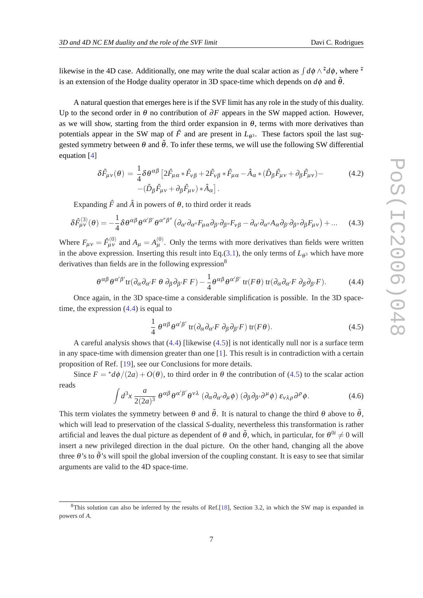<span id="page-6-0"></span>likewise in the 4D case. Additionally, one may write the dual scalar action as  $\int d\phi \wedge^{\tilde{\star}} d\phi$ , where  $\tilde{\star}$ is an extension of the Hodge duality operator in 3D space-time which depends on  $d\phi$  and  $\tilde{\theta}$ .

A natural question that emerges here is if the SVF limit has any role in the study of this duality. Up to the second order in  $\theta$  no contribution of  $\partial F$  appears in the SW mapped action. However, as we will show, starting from the third order expansion in  $\theta$ , terms with more derivatives than potentials appear in the SW map of  $\hat{F}$  and are present in  $L_{\theta^3}$ . These factors spoil the last suggested symmetry between  $\theta$  and  $\tilde{\theta}$ . To infer these terms, we will use the following SW differential equation [\[4\]](#page-8-0)

$$
\delta\hat{F}_{\mu\nu}(\theta) = \frac{1}{4}\delta\theta^{\alpha\beta} \left[2\hat{F}_{\mu\alpha}*\hat{F}_{\nu\beta} + 2\hat{F}_{\nu\beta}*\hat{F}_{\mu\alpha} - \hat{A}_{\alpha}*(\hat{D}_{\beta}\hat{F}_{\mu\nu} + \partial_{\beta}\hat{F}_{\mu\nu}) - \right. \tag{4.2}
$$
\n
$$
-(\hat{D}_{\beta}\hat{F}_{\mu\nu} + \partial_{\beta}\hat{F}_{\mu\nu})*\hat{A}_{\alpha}\right].
$$

Expanding  $\hat{F}$  and  $\hat{A}$  in powers of  $\theta$ , to third order it reads

$$
\delta \hat{F}^{(3)}_{\mu\nu}(\theta) = -\frac{1}{4} \delta \theta^{\alpha\beta} \theta^{\alpha'\beta'} \theta^{\alpha''\beta''} \left( \partial_{\alpha'} \partial_{\alpha''} F_{\mu\alpha} \partial_{\beta'} \partial_{\beta''} F_{\nu\beta} - \partial_{\alpha'} \partial_{\alpha''} A_{\alpha} \partial_{\beta'} \partial_{\beta''} \partial_{\beta} F_{\mu\nu} \right) + \dots \quad (4.3)
$$

Where  $F_{\mu\nu} = \hat{F}_{\mu\nu}^{(0)}$  and  $A_{\mu} = A_{\mu}^{(0)}$ . Only the terms with more derivatives than fields were written in the above expression. Inserting this result into Eq.[\(3.1](#page-3-0)), the only terms of  $L_{\theta^3}$  which have more derivatives than fields are in the following expression<sup>8</sup>

$$
\theta^{\alpha\beta}\theta^{\alpha'\beta'}\text{tr}(\partial_{\alpha}\partial_{\alpha'}F\ \theta\ \partial_{\beta}\partial_{\beta'}F\ F) - \frac{1}{4}\theta^{\alpha\beta}\theta^{\alpha'\beta'}\text{tr}(F\theta)\text{tr}(\partial_{\alpha}\partial_{\alpha'}F\ \partial_{\beta}\partial_{\beta'}F). \tag{4.4}
$$

Once again, in the 3D space-time a considerable simplification is possible. In the 3D spacetime, the expression  $(4.4)$  is equal to

$$
\frac{1}{4} \theta^{\alpha\beta} \theta^{\alpha'\beta'} \operatorname{tr}(\partial_{\alpha}\partial_{\alpha'} F \partial_{\beta}\partial_{\beta'} F) \operatorname{tr}(F\theta). \tag{4.5}
$$

A careful analysis shows that (4.4) [likewise (4.5)] is not identically null nor is a surface term in any space-time with dimension greater than one [\[1\]](#page-8-0). This result is in contradiction with a certain proposition of Ref. [\[19\]](#page-9-0), see our Conclusions for more details.

Since  $F = \frac{\star}{d\phi}/(2a) + O(\theta)$ , to third order in  $\theta$  the contribution of (4.5) to the scalar action reads

$$
\int d^3x \, \frac{a}{2(2a)^3} \, \theta^{\alpha\beta} \theta^{\alpha'\beta'} \theta^{\nu\lambda} \, (\partial_\alpha \partial_{\alpha'} \partial_\mu \phi) \, (\partial_\beta \partial_{\beta'} \partial^\mu \phi) \, \epsilon_{\nu\lambda\rho} \partial^\rho \phi. \tag{4.6}
$$

This term violates the symmetry between  $\theta$  and  $\tilde{\theta}$ . It is natural to change the third  $\theta$  above to  $\tilde{\theta}$ , which will lead to preservation of the classical *S*-duality, nevertheless this transformation is rather artificial and leaves the dual picture as dependent of  $\theta$  and  $\tilde{\theta}$ , which, in particular, for  $\theta^{0i} \neq 0$  will insert a new privileged direction in the dual picture. On the other hand, changing all the above three  $\theta$ 's to  $\tilde{\theta}$ 's will spoil the global inversion of the coupling constant. It is easy to see that similar arguments are valid to the 4D space-time.

<sup>8</sup>This solution can also be inferred by the results of Ref.[\[18](#page-9-0)], Section 3.2, in which the SW map is expanded in powers of *A*.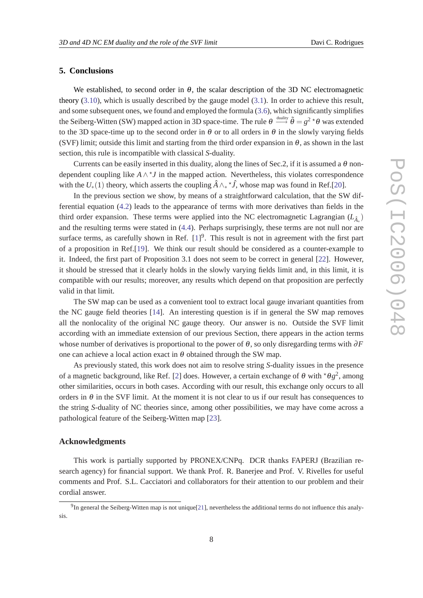## **5. Conclusions**

We established, to second order in  $\theta$ , the scalar description of the 3D NC electromagnetic theory ([3.10\)](#page-4-0), which is usually described by the gauge model ([3.1](#page-3-0)). In order to achieve this result, and some subsequent ones, we found and employed the formula ([3.6](#page-4-0)), which significantly simplifies the Seiberg-Witten (SW) mapped action in 3D space-time. The rule  $\theta \stackrel{\text{duality}}{\longrightarrow} \tilde{\theta} = g^2 \, {}^{\star}\theta$  was extended to the 3D space-time up to the second order in  $\theta$  or to all orders in  $\theta$  in the slowly varying fields (SVF) limit; outside this limit and starting from the third order expansion in  $\theta$ , as shown in the last section, this rule is incompatible with classical *S*-duality.

Currents can be easily inserted in this duality, along the lines of Sec.2, if it is assumed a  $\theta$  nondependent coupling like *A*∧ ? *J* in the mapped action. Nevertheless, this violates correspondence with the  $U_*(1)$  theory, which asserts the coupling  $\hat{A} \wedge_* {}^{\star} \hat{J}$ , whose map was found in Ref.[\[20](#page-9-0)].

In the previous section we show, by means of a straightforward calculation, that the SW differential equation [\(4.2\)](#page-6-0) leads to the appearance of terms with more derivatives than fields in the third order expansion. These terms were applied into the NC electromagnetic Lagrangian  $(L_{\hat{A}_*})$ and the resulting terms were stated in [\(4.4\)](#page-6-0). Perhaps surprisingly, these terms are not null nor are surface terms, as carefully shown in Ref.  $[1]^9$  $[1]^9$ . This result is not in agreement with the first part of a proposition in Ref.[[19\]](#page-9-0). We think our result should be considered as a counter-example to it. Indeed, the first part of Proposition 3.1 does not seem to be correct in general [\[22](#page-9-0)]. However, it should be stressed that it clearly holds in the slowly varying fields limit and, in this limit, it is compatible with our results; moreover, any results which depend on that proposition are perfectly valid in that limit.

The SW map can be used as a convenient tool to extract local gauge invariant quantities from the NC gauge field theories [\[14](#page-8-0)]. An interesting question is if in general the SW map removes all the nonlocality of the original NC gauge theory. Our answer is no. Outside the SVF limit according with an immediate extension of our previous Section, there appears in the action terms whose number of derivatives is proportional to the power of θ, so only disregarding terms with ∂*F* one can achieve a local action exact in  $\theta$  obtained through the SW map.

As previously stated, this work does not aim to resolve string *S*-duality issues in the presence of a magnetic background, like Ref. [[2\]](#page-8-0) does. However, a certain exchange of  $\theta$  with  $\star \theta g^2$ , among other similarities, occurs in both cases. According with our result, this exchange only occurs to all orders in  $\theta$  in the SVF limit. At the moment it is not clear to us if our result has consequences to the string *S*-duality of NC theories since, among other possibilities, we may have come across a pathological feature of the Seiberg-Witten map [[23\]](#page-9-0).

## **Acknowledgments**

This work is partially supported by PRONEX/CNPq. DCR thanks FAPERJ (Brazilian research agency) for financial support. We thank Prof. R. Banerjee and Prof. V. Rivelles for useful comments and Prof. S.L. Cacciatori and collaborators for their attention to our problem and their cordial answer.

 $<sup>9</sup>$ In general the Seiberg-Witten map is not unique[\[21](#page-9-0)], nevertheless the additional terms do not influence this analy-</sup> sis.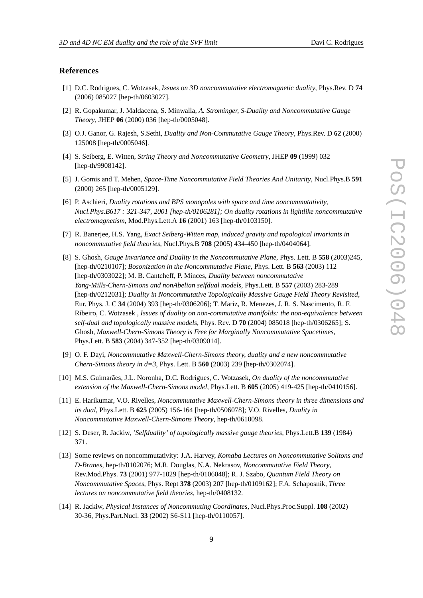#### <span id="page-8-0"></span>**References**

- [1] D.C. Rodrigues, C. Wotzasek, *Issues on 3D noncommutative electromagnetic duality*, Phys.Rev. D **74** (2006) 085027 [hep-th/0603027].
- [2] R. Gopakumar, J. Maldacena, S. Minwalla, *A. Strominger, S-Duality and Noncommutative Gauge Theory*, JHEP **06** (2000) 036 [hep-th/0005048].
- [3] O.J. Ganor, G. Rajesh, S.Sethi, *Duality and Non-Commutative Gauge Theory*, Phys.Rev. D **62** (2000) 125008 [hep-th/0005046].
- [4] S. Seiberg, E. Witten, *String Theory and Noncommutative Geometry*, JHEP **09** (1999) 032 [hep-th/9908142].
- [5] J. Gomis and T. Mehen, *Space-Time Noncommutative Field Theories And Unitarity*, Nucl.Phys.B **591** (2000) 265 [hep-th/0005129].
- [6] P. Aschieri, *Duality rotations and BPS monopoles with space and time noncommutativity, Nucl.Phys.B617 : 321-347, 2001 [hep-th/0106281]; On duality rotations in lightlike noncommutative electromagnetism*, Mod.Phys.Lett.A **16** (2001) 163 [hep-th/0103150].
- [7] R. Banerjee, H.S. Yang, *Exact Seiberg-Witten map, induced gravity and topological invariants in noncommutative field theories*, Nucl.Phys.B **708** (2005) 434-450 [hep-th/0404064].
- [8] S. Ghosh, *Gauge Invariance and Duality in the Noncommutative Plane*, Phys. Lett. B **558** (2003)245, [hep-th/0210107]; *Bosonization in the Noncommutative Plane*, Phys. Lett. B **563** (2003) 112 [hep-th/0303022]; M. B. Cantcheff, P. Minces, *Duality between noncommutative Yang-Mills-Chern-Simons and nonAbelian selfdual models*, Phys.Lett. B **557** (2003) 283-289 [hep-th/0212031]; *Duality in Noncommutative Topologically Massive Gauge Field Theory Revisited*, Eur. Phys. J. C **34** (2004) 393 [hep-th/0306206]; T. Mariz, R. Menezes, J. R. S. Nascimento, R. F. Ribeiro, C. Wotzasek , *Issues of duality on non-commutative manifolds: the non-equivalence between self-dual and topologically massive models*, Phys. Rev. D **70** (2004) 085018 [hep-th/0306265]; S. Ghosh, *Maxwell-Chern-Simons Theory is Free for Marginally Noncommutative Spacetimes*, Phys.Lett. B **583** (2004) 347-352 [hep-th/0309014].
- [9] O. F. Dayi, *Noncommutative Maxwell-Chern-Simons theory, duality and a new noncommutative Chern-Simons theory in d=3*, Phys. Lett. B **560** (2003) 239 [hep-th/0302074].
- [10] M.S. Guimarães, J.L. Noronha, D.C. Rodrigues, C. Wotzasek, *On duality of the noncommutative extension of the Maxwell-Chern-Simons model*, Phys.Lett. B **605** (2005) 419-425 [hep-th/0410156].
- [11] E. Harikumar, V.O. Rivelles, *Noncommutative Maxwell-Chern-Simons theory in three dimensions and its dual*, Phys.Lett. B **625** (2005) 156-164 [hep-th/0506078]; V.O. Rivelles, *Duality in Noncommutative Maxwell-Chern-Simons Theory*, hep-th/0610098.
- [12] S. Deser, R. Jackiw, *'Selfduality' of topologically massive gauge theories*, Phys.Lett.B **139** (1984) 371.
- [13] Some reviews on noncommutativity: J.A. Harvey, *Komaba Lectures on Noncommutative Solitons and D-Branes*, hep-th/0102076; M.R. Douglas, N.A. Nekrasov, *Noncommutative Field Theory*, Rev.Mod.Phys. **73** (2001) 977-1029 [hep-th/0106048]; R. J. Szabo, *Quantum Field Theory on Noncommutative Spaces*, Phys. Rept **378** (2003) 207 [hep-th/0109162]; F.A. Schaposnik, *Three lectures on noncommutative field theories*, hep-th/0408132.
- [14] R. Jackiw, *Physical Instances of Noncommuting Coordinates*, Nucl.Phys.Proc.Suppl. **108** (2002) 30-36, Phys.Part.Nucl. **33** (2002) S6-S11 [hep-th/0110057].